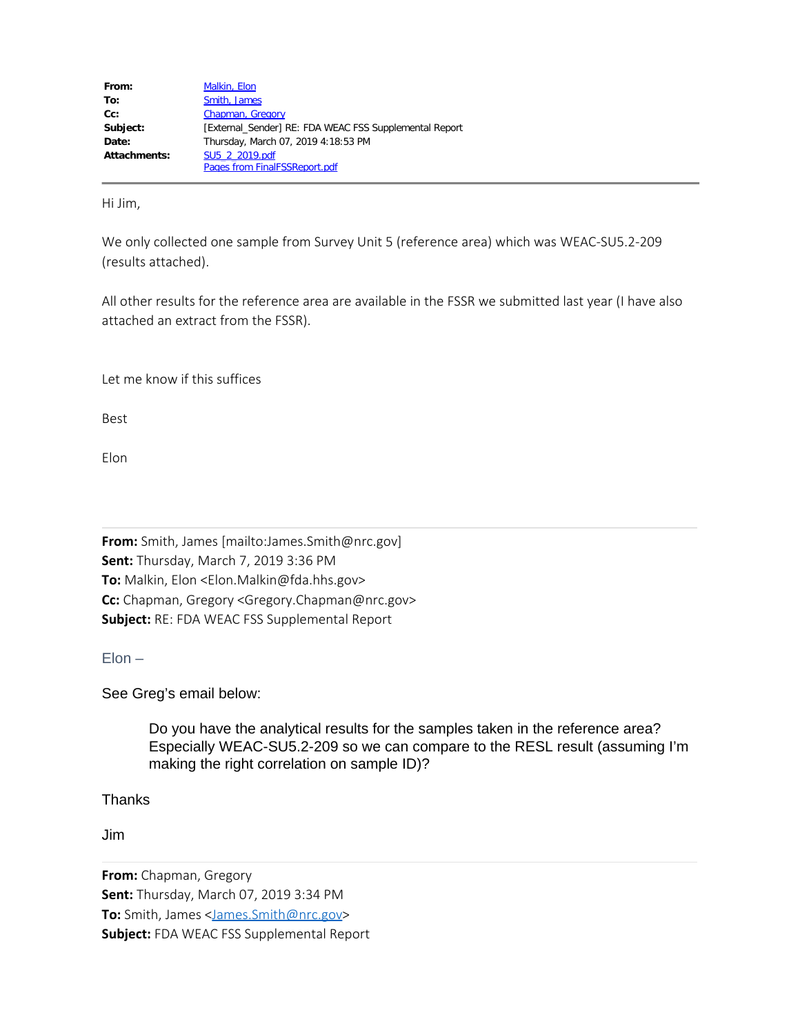| From:        | Malkin, Elon                                           |
|--------------|--------------------------------------------------------|
| To:          | Smith, James                                           |
| $Cc$ :       | Chapman, Gregory                                       |
| Subject:     | [External Sender] RE: FDA WEAC FSS Supplemental Report |
| Date:        | Thursday, March 07, 2019 4:18:53 PM                    |
| Attachments: | SU5 2 2019.pdf                                         |
|              | <b>Pages from FinalFSSReport.pdf</b>                   |

Hi Jim,

We only collected one sample from Survey Unit 5 (reference area) which was WEAC-SU5.2-209 (results attached).

All other results for the reference area are available in the FSSR we submitted last year (I have also attached an extract from the FSSR).

Let me know if this suffices

Best

Elon

**From:** Smith, James [mailto:James.Smith@nrc.gov] **Sent:** Thursday, March 7, 2019 3:36 PM **To:** Malkin, Elon <Elon.Malkin@fda.hhs.gov> **Cc:** Chapman, Gregory <Gregory.Chapman@nrc.gov> **Subject:** RE: FDA WEAC FSS Supplemental Report

 $Elon -$ 

See Greg's email below:

Do you have the analytical results for the samples taken in the reference area? Especially WEAC-SU5.2-209 so we can compare to the RESL result (assuming I'm making the right correlation on sample ID)?

**Thanks** 

Jim

**From:** Chapman, Gregory **Sent:** Thursday, March 07, 2019 3:34 PM **To:** Smith, James [<James.Smith@nrc.gov](mailto:James.Smith@nrc.gov)> **Subject:** FDA WEAC FSS Supplemental Report